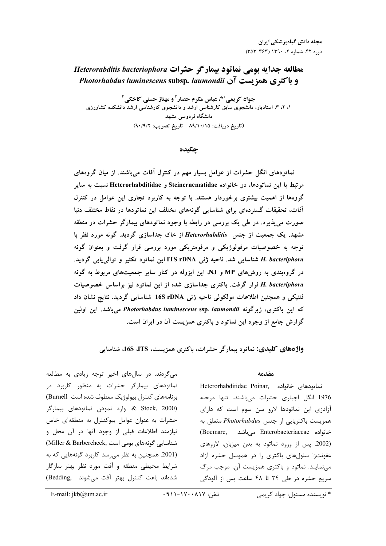# *Heterorabditis bacteriophora*  **-**  *Photorhabdus luminescens* **subsp***. laumondii* **! "#**

جواد کریمی <sup>۱ \*</sup>، عباس مکرم حصار <sup>۲</sup> و مهناز حسنی کاخکی <sup>۳</sup> **۱، ۲، ۴، استادیار، دانشجوی سابق کارشناسی ارشد و دانشجوی کارشناسی ارشد دانشکده کشاورزی** دانشگاه فردوس*ی* مشهد **(90/9/2 :-.% \$% - 89/10/15 :# \$%)**

**چکیده** 

نماتودهای انگل حشرات از عوامل بسیار مهم در کنترل افات میباشند. از میان گروههای مرتبط با این نماتودها، دو خانواده Steinernematidae و Heterorhabditidae نسبت به سایر گروهها از اهمیت بیشتری برخوردار هستند. با توجه به کاربرد تجاری این عوامل در کنترل افات. تحقیقات گستردهای برای شناسایی گونههای مختلف این نماتودها در نقاط مختلف دنیا صورت میپذیرد. در طی یک بررسی در رابطه با وجود نماتودهای بیمارگر حشرات در منطقه مشهد، یک جمعیت از جنس Heterorhabditis از خاک جداسازی گردید. گونه مورد نظر با توجه به خصوصیات مرفولوژیکی و مرفومتریکی مورد بررسی قرار گرفت و بعنوان گونه **. < U% 7W% %1 A ITS rDNA T B74 .** *H. bacteriphora* در گروهبندی به روشهای MP و NJ، این ایزوله در کنار سایر جمعیتهای مربوط به گونه **37J.@ Z Y7 %1 A C .# < V** *H. bacteriphora* فنتیکی و همچنین اطلاعات مولکولی ناحیه ژنی 16S rDNA شناسایی گردید. نتایج نشان داد **A7U A .** *Photorhabdus luminescens* **ssp***. laumondii* **B< A B .# = =8 #5Y10 %1 A C ^C XY<**

واژههای کلیدی: نماتود بیمارگر حشرات، باکتری همزیست، I6S ،ITS، شناسایی

#### **مقدمه**

نماتودهای خانواده ,Heterorhabditidae Poinar 1976 انگل اجباری حشرات میباشند. تنها مرحله آزادزی این نماتودها لارو سن سوم است که دارای همزيست باكتريايي از جنس *Photorhabdus م*تعلق به خانواده Enterobacteriaceae میباشد ,Boemare (2002. پس از ورود نماتود به بدن میزبان، لاروهای عفونتزا سلولهای باکتری را در هموسل حشره آزاد می نمایند. نماتود و باکتری همزیست آن، موجب مرگ سریع حشره در طی ۲۴ تا ۴۸ ساعت پس از آلودگی

میگردند. در سالهای اخیر توجه زیادی به مطالعه نماتودهای بیمارگر حشرات به منظور کاربرد در برنامههای کنترل بیولوژیک معطوف شده است Burnell) ارد نمودن نماتودهای بیمارگر  $\&$  Stock, 2000) حشرات به عنوان عوامل بیوکنترل به منطقهای خاص نیازمند اطلاعات قبلی از وجود آنها در آن محل و شناسایی گونههای بومی است ,Miller & Barbercheck) (2001. همچنین به نظر می رسد کاربرد گونههایی که به شرایط محیطی منطقه و آفت مورد نظر بهتر سازگار شدهاند باعث کنترل بهتر آفت میشوند۔ ,Bedding)

\* نویسنده مسئول: جواد کریمے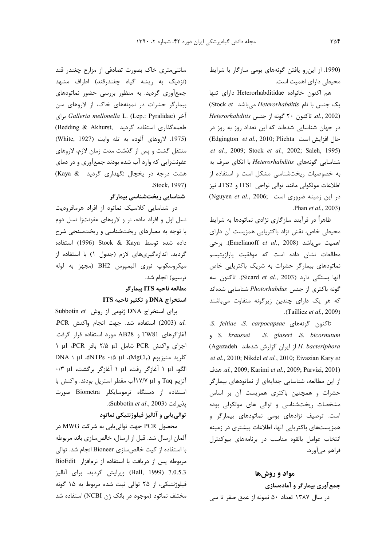(1990. از اینرو یافتن گونههای بومی سازگار با شرایط محیطی دارای اهمیت است.

هم اکنون خانواده Heterorhabditidae دارای تنها یک جنس با نام *Heterorhabditis می*باشد Stock *et Heterorhabditis* ?# 7" 5J 20 B!' .*al.*, 2002) در جهان شناسایی شدهاند که این تعداد روز به روز در (Edgington *et al.*, 2010; Plichta حال افزایش است .*et al.*, 2009; Stock *et al.*, 2002; Saleh, 1995) شناسایی گونههای *Heterorhabditis ب*ا اتکای صرف به به خصوصیات ریختشناسی مشکل است و استفاده از اطلاعات مولکولی مانند توالی نواحی ITS1 و ITS2، نیز  $(Nguyen$  et al., 2006; این زمینه ضروری است .Phan *et al.*, 2003)

ظاهراً در فرآیند سازگاری نژادی نماتودها به شرایط محیطی خاص، نقش نژاد باکتریایی همزیست آن دارای اهمیت میباشد (Emelianoff *et al*., 2008). برخی مطالعات نشان داده است که موفقیت پارازیتیسم نماتودهای بیمارگر حشرات به شریک باکتریایی خاص آنها بستگی دارد (Sicard *et al.*, 2003). تاکنون سه گونه باکتری از جنس *Photorhabdus ش*ناسایی شدهاند که هر یک دارای چندین زیرگونه متفاوت میباشند .(Tailliez *et al.*, 2009)

*S*. *feltiae S*. *carpocapsae* +\*5J B!' *S. kraussei S. glaseri S. bicornutum* (Agazadeh "- f"=J B" " 7" *H. bacteriphora* .*et al.*, 2010; Nikdel *et al.*, 2010; Eivazian Kary *et* O\* .*al.*, 2009; Karimi *et al.*, 2009; Parvizi, 2001) از این مطالعه، شناسایی جدایهای از نماتودهای بیمارگر حشرات و همچنین باکتری همزیست آن بر اساس مشخصات ریختشناسی و توالی های مولکولی بوده است. توصیف نژادهای بومی نماتودهای بیمارگر و همزیستهای باکتریایی آنها، اطلاعات بیشتری در زمینه انتخاب عوامل بالقوه مناسب در برنامههای بیوکنترل فراهم مے آورد.

#### مواد و روشها

#### جمع آوري بيمارگر و آمادهسازي

در سال ۱۳۸۷ تعداد ۵۰ نمونه از عمق صفر تا سی

سانتی متری خاک بصورت تصادفی از مزارع چغندر قند (نزدیک به ریشه گیاه چغندرقند) اطراف مشهد جمع آوری گردید. به منظور بررسی حضور نماتودهای بیمارگر حشرات در نمونههای خاک، از لاروهای سن براى *Galleria mellonella* L. (Lep.: Pyralidae) براى طعمهگذاری استفاده گردید ,Bedding & Akhurst (1975. لاروهای آلوده به تله وایت (White, 1927) منتقل گشت و پس از گذشت مدت زمان لازم، لاروهای عفونتزایی که وارد آب شده بودند جمعآوری و در دمای هشت درجه در یخچال نگهداری گردید Kaya & .Stock, 1997)

### شناسایی ریختشناسی بیمارگر

در شناسایی کلاسیک نماتود از افراد هرمافرودیت نسل اول و افراد ماده، نر و لاروهای عفونتزا نسل دوم با توجه به معیارهای ریختشناسی و ریختسنجی شرح داده شده توسط Kaya Kaya (1996) استفاده گردید. اندازهگیریهای لازم (جدول ۱) با استفاده از ميكروسكوپ نوري اليميوس BH2 (مجهز به لوله ترسيم) انجام شد.

### **ITS -# -\$%&**

#### استخراج DNA و تکثیر ناحیه ITS

Subbotin et روش **Subbotin et** برای استخراج .eCR استفاده شد. جهت انجام واكنش PCR، آغازگرهای TW81 و AB28 مورد استفاده قرار گرفت. اجزای واکنش PCR شامل μl (γ/۵ μl بافر PCR ا DNA 1 µl dNTPs  $\cdot/\Delta$  µl (MgCl<sub>۲</sub>) ومنيزيوم الگو، μl \ آغازگر رفت، μl \ آغازگر برگشت، μl ·/٣ μl آنزیم Taq و V/V اآب مقطر استریل بودند. واکنش با استفاده از دستگاه ترموسایکلر Biometra صورت .(Subbotin *et al*., 2003) 9X nC

# توالي يابي و آناليز فيلوژنتيكي نماتود

محصول PCR جهت توالی¤بابی به شرکت MWG در آلمان ارسال شد. قبل از ارسال، خالصسازی باند مربوطه با استفاده از کیت خالصسازی Bioneer انجام شد. توالی مربوطه پس از دریافت با استفاده از نرمافزار BioEdit 7.0.5.3 (Hall, 1999) ويرايش گرديد. براي آناليز فیلوژنتیکی، از ۲۵ توالی ثبت شده مربوط به ۱۵ گونه مختلف نماتود (موجود در بانک ژن NCBI) استفاده شد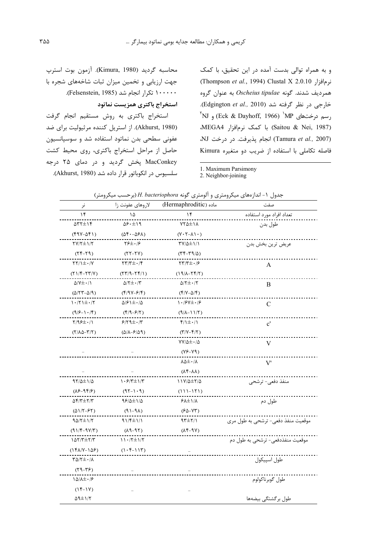محاسبه گردید (Kimura, 1980). آزمون بوت استرپ جهت ارزیابی و تخمین میزان ثبات شاخههای شجره با ۱۰۰۰۰۰ تکرار انجام شد (Felsenstein, 1985). استخراج باكترى همزيست نماتود

استخراج باكترى به روش مستقيم انجام گرفت (Akhurst, 1980). از استریل کننده مرثیولیت برای ضد عفونی سطحی بدن نماتود استفاده شد و سوسیانسیون حاصل از مراحل استخراج باكترى، روى محيط كشت MacConkey پخش گردید و در دمای ۲۵ درجه سلسیوس در انکوباتور قرار داده شد (Akhurst, 1980). و به همراه توالی بدست آمده در این تحقیق، با کمک Ghompson et al., 1994) Clustal X 2.0.10 (Thompson et al., 1994) همرديف شدند. گونه Oscheius tipulae به عنوان گروه خارجی در نظر گرفته شد (Edgington et al., 2010).  $\mathrm{N}$ رسم درختهای Eck & Dayhoff, 1966)  $\mathrm{MP}$  و VN (Saitou & Nei, 1987) با كمك نرمافزار MEGA4. (Tamura et al., 2007) انجام يذيرفت. در درخت NJ، فاصله تكاملى با استفاده از ضريب دو متغيره Kimura

1. Maximum Parsimony

2. Neighbor-joining

| نر                                                                                                                                                                                                                                                                                                                                                                                                                                                                                                                                                                                                                                                                                                                                                     | لاروهای عفونت زا                                                                                                                                                                                                                                                                                                                                                                                                                                                                                                                                                     | ماده (Hermaphroditic)                             | صفت                                |
|--------------------------------------------------------------------------------------------------------------------------------------------------------------------------------------------------------------------------------------------------------------------------------------------------------------------------------------------------------------------------------------------------------------------------------------------------------------------------------------------------------------------------------------------------------------------------------------------------------------------------------------------------------------------------------------------------------------------------------------------------------|----------------------------------------------------------------------------------------------------------------------------------------------------------------------------------------------------------------------------------------------------------------------------------------------------------------------------------------------------------------------------------------------------------------------------------------------------------------------------------------------------------------------------------------------------------------------|---------------------------------------------------|------------------------------------|
| ۱۴                                                                                                                                                                                                                                                                                                                                                                                                                                                                                                                                                                                                                                                                                                                                                     | ۱۵                                                                                                                                                                                                                                                                                                                                                                                                                                                                                                                                                                   | ۱۴                                                | تعداد افراد مورد استفاده           |
| <b>STY±۱۴</b>                                                                                                                                                                                                                                                                                                                                                                                                                                                                                                                                                                                                                                                                                                                                          | ۱۹⇒۶۰∆                                                                                                                                                                                                                                                                                                                                                                                                                                                                                                                                                               | $YY\Delta \pm Y\Lambda$                           | طول بدن                            |
| $(91 - \Delta 5)$                                                                                                                                                                                                                                                                                                                                                                                                                                                                                                                                                                                                                                                                                                                                      | $(\Delta f \cdot - \Delta f \wedge)$                                                                                                                                                                                                                                                                                                                                                                                                                                                                                                                                 | $(Y \cdot Y - \lambda) \cdot$                     |                                    |
| ۲۷/۲±۱/۲                                                                                                                                                                                                                                                                                                                                                                                                                                                                                                                                                                                                                                                                                                                                               | 76± <i>0</i> 16                                                                                                                                                                                                                                                                                                                                                                                                                                                                                                                                                      | 77/0±\/\                                          | عريض ترين بخش بدن                  |
| $(55 - 79)$                                                                                                                                                                                                                                                                                                                                                                                                                                                                                                                                                                                                                                                                                                                                            | $(55 - 57)$                                                                                                                                                                                                                                                                                                                                                                                                                                                                                                                                                          | $(TF-T9/\Delta)$                                  |                                    |
| $\Upsilon\Upsilon/\Upsilon \pm \cdot/\Upsilon$                                                                                                                                                                                                                                                                                                                                                                                                                                                                                                                                                                                                                                                                                                         | $\uparrow\uparrow\uparrow\uparrow\uparrow\pm\cdot\uparrow\uparrow$                                                                                                                                                                                                                                                                                                                                                                                                                                                                                                   | $\mathbf{y} = \mathbf{y} - \mathbf{y}$            | A                                  |
| $(Y)/\mathfrak{r}$ - $Y\mathfrak{r}/\mathfrak{r}$ )                                                                                                                                                                                                                                                                                                                                                                                                                                                                                                                                                                                                                                                                                                    | $(177/9 - 177)$                                                                                                                                                                                                                                                                                                                                                                                                                                                                                                                                                      | $(19/\lambda - YY)$                               |                                    |
| $\Delta/Y \pm \cdot / \sqrt{}$                                                                                                                                                                                                                                                                                                                                                                                                                                                                                                                                                                                                                                                                                                                         | $\Delta/\Upsilon \pm \cdot/\Upsilon$                                                                                                                                                                                                                                                                                                                                                                                                                                                                                                                                 | $\Delta/\Upsilon \pm \cdot/\Upsilon$              | B                                  |
| $(\Delta/\Upsilon\Upsilon-\Delta/\Upsilon)$                                                                                                                                                                                                                                                                                                                                                                                                                                                                                                                                                                                                                                                                                                            | $(\frac{4}{3}$                                                                                                                                                                                                                                                                                                                                                                                                                                                                                                                                                       | $(\mathfrak{f}/\mathfrak{V}-\Delta/\mathfrak{f})$ |                                    |
| $\left.\right.\right.\left.\left.\right.\left.\right\vert \left.\right.\left\langle \right.\left\vert \left.\right.\left\langle \right.\right.\left\vert \left.\left\langle \right.\right.\left\langle \right.\left\langle \right.\right.\left\langle \right.\left\langle \right.\left\langle \right.\left\langle \right.\left\langle \right.\left\langle \right.\left\langle \right.\left\langle \right.\left\langle \right.\left\langle \right.\left\langle \right.\left\langle \right.\left\langle \right.\left\langle \right.\left\langle \right.\left\langle \right.\left\langle \right.\left\langle \right.\left\langle \right.\left\langle \right.\left\langle \right.\left\langle \right.\left\langle \right.\left\langle \right.\left\langle$ | $\Delta$ / $\epsilon$ \ $\pm$ $\cdot$ / $\Delta$                                                                                                                                                                                                                                                                                                                                                                                                                                                                                                                     | $\setminus \cdot$ /۶۷ $\pm \cdot$ /۶              | C                                  |
| $(9/5 - 1 \cdot 15)$                                                                                                                                                                                                                                                                                                                                                                                                                                                                                                                                                                                                                                                                                                                                   | $(\mathfrak{f}/\mathfrak{I}-\mathfrak{F}/\mathfrak{I})$                                                                                                                                                                                                                                                                                                                                                                                                                                                                                                              | $(9/\lambda - 1)/5$                               |                                    |
| $\frac{1}{2}$                                                                                                                                                                                                                                                                                                                                                                                                                                                                                                                                                                                                                                                                                                                                          | $8/8$ 9 $\pm$ $\cdot$ /۳                                                                                                                                                                                                                                                                                                                                                                                                                                                                                                                                             | $f/\iota \pm \iota/\iota$                         | $\mathbf{c}'$                      |
| $(Y/\lambda\Delta-\Upsilon/\Upsilon)$                                                                                                                                                                                                                                                                                                                                                                                                                                                                                                                                                                                                                                                                                                                  | $(\Delta/\lambda-\mathcal{S}/\Delta9)$                                                                                                                                                                                                                                                                                                                                                                                                                                                                                                                               | $(\Upsilon/\Upsilon-\Upsilon/\Upsilon)$           |                                    |
|                                                                                                                                                                                                                                                                                                                                                                                                                                                                                                                                                                                                                                                                                                                                                        |                                                                                                                                                                                                                                                                                                                                                                                                                                                                                                                                                                      | $YY/\Delta\pm\cdot/\Delta$                        | V                                  |
|                                                                                                                                                                                                                                                                                                                                                                                                                                                                                                                                                                                                                                                                                                                                                        |                                                                                                                                                                                                                                                                                                                                                                                                                                                                                                                                                                      | $(Y^{\epsilon} - Y^{\epsilon})$                   |                                    |
|                                                                                                                                                                                                                                                                                                                                                                                                                                                                                                                                                                                                                                                                                                                                                        |                                                                                                                                                                                                                                                                                                                                                                                                                                                                                                                                                                      | 85±01                                             | V'                                 |
|                                                                                                                                                                                                                                                                                                                                                                                                                                                                                                                                                                                                                                                                                                                                                        |                                                                                                                                                                                                                                                                                                                                                                                                                                                                                                                                                                      | $(\lambda \uparrow - \lambda \lambda)$            |                                    |
| $97/2 \pm 1/2$                                                                                                                                                                                                                                                                                                                                                                                                                                                                                                                                                                                                                                                                                                                                         | $\left. \right. \left. \left. \right. \right. \left. \left. \right. \left. \left. \right. \left. \left. \right. \left. \right. \left. \left. \right. \right. \left. \left. \right. \left. \right. \left. \left. \right. \right. \left. \left. \right. \right. \left. \left. \right. \right. \left. \left. \right. \left. \left. \right. \right. \left. \left. \right. \right. \left. \left. \right. \right. \left. \left. \right. \right. \left. \left. \right. \right. \left. \left. \right. \right. \left. \left. \right. \right. \left. \left. \right. \right. \$ | $11Y/\Delta \pm 7/\Delta$                         | منفذ دفعی- ترشحی                   |
| $(\lambda 5 - 95/)$                                                                                                                                                                                                                                                                                                                                                                                                                                                                                                                                                                                                                                                                                                                                    | $(95-1.9)$                                                                                                                                                                                                                                                                                                                                                                                                                                                                                                                                                           | $(111 - 171)$                                     |                                    |
| $\Delta f/\tau \pm \tau/\tau$                                                                                                                                                                                                                                                                                                                                                                                                                                                                                                                                                                                                                                                                                                                          | 98/4±1/4                                                                                                                                                                                                                                                                                                                                                                                                                                                                                                                                                             | $5\lambda \pm 1/\lambda$                          | طول دم                             |
| $(\Delta)/\Upsilon-\Upsilon$                                                                                                                                                                                                                                                                                                                                                                                                                                                                                                                                                                                                                                                                                                                           | $(\lambda \beta - \beta)$                                                                                                                                                                                                                                                                                                                                                                                                                                                                                                                                            | $(60 - YT)$                                       |                                    |
| $90/7 \pm 1/7$                                                                                                                                                                                                                                                                                                                                                                                                                                                                                                                                                                                                                                                                                                                                         | 91/۴±1/1                                                                                                                                                                                                                                                                                                                                                                                                                                                                                                                                                             | $\gamma\uparrow\pm\gamma/\gamma$                  | موقعیت منفذ دفعی– ترشحی به طول مری |
| $(91/F-9V/T)$                                                                                                                                                                                                                                                                                                                                                                                                                                                                                                                                                                                                                                                                                                                                          | $(19-91)$                                                                                                                                                                                                                                                                                                                                                                                                                                                                                                                                                            | $(\lambda f - \eta V)$                            |                                    |
| $007/T \pm 7/T$                                                                                                                                                                                                                                                                                                                                                                                                                                                                                                                                                                                                                                                                                                                                        | $11.75 \pm 17$                                                                                                                                                                                                                                                                                                                                                                                                                                                                                                                                                       |                                                   | موقعیت منفذدفعی– ترشحی به طول دم   |
| $(161/Y-189)$                                                                                                                                                                                                                                                                                                                                                                                                                                                                                                                                                                                                                                                                                                                                          | $(1 - f - 11f)$                                                                                                                                                                                                                                                                                                                                                                                                                                                                                                                                                      |                                                   |                                    |
| $\Gamma \Delta / \Gamma \pm \cdot / \Lambda$                                                                                                                                                                                                                                                                                                                                                                                                                                                                                                                                                                                                                                                                                                           |                                                                                                                                                                                                                                                                                                                                                                                                                                                                                                                                                                      |                                                   | طول اسپيکول                        |
| $(79 - 79)$                                                                                                                                                                                                                                                                                                                                                                                                                                                                                                                                                                                                                                                                                                                                            |                                                                                                                                                                                                                                                                                                                                                                                                                                                                                                                                                                      |                                                   |                                    |
| $1\Delta/\lambda \pm \cdot 7$                                                                                                                                                                                                                                                                                                                                                                                                                                                                                                                                                                                                                                                                                                                          |                                                                                                                                                                                                                                                                                                                                                                                                                                                                                                                                                                      |                                                   | طول گوبرناكولوم                    |
| $(15-1)$                                                                                                                                                                                                                                                                                                                                                                                                                                                                                                                                                                                                                                                                                                                                               |                                                                                                                                                                                                                                                                                                                                                                                                                                                                                                                                                                      |                                                   |                                    |
| $\Delta$ 9 $\pm$ 1/٢                                                                                                                                                                                                                                                                                                                                                                                                                                                                                                                                                                                                                                                                                                                                   |                                                                                                                                                                                                                                                                                                                                                                                                                                                                                                                                                                      |                                                   | طول بر گشتگی بیضهها                |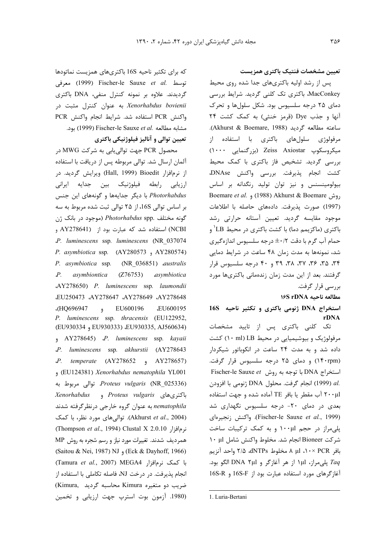تعيين مشخصات فنتيك باكترى همزيست

پس از رشد اولیه باکتریهای جدا شده روی محیط MacConkey، باکتری تک کلنی گردید. شرایط بررسی دمای ۲۵ درجه سلسیوس بود. شکل سلولها و تحرک آنها و جذب Dye (قرمز خنثی) به کمک کشت ۲۴ ساعته مطالعه گردید (Akhurst & Boemare, 1988). مرفولوژی سلولهای باکتری با استفاده از میکروسکوپ Zeiss Axiostar (بزرگنمایی ۱۰۰۰) بررسی گردید. تشخیص فاز باکتری با کمک محیط كشت انجام پذيرفت. بررسي واكنش DNAse، بیولومینسنس و نیز توان تولید رنگدانه بر اساس Boemare et al. , (1988) Akhurst & Boemare , (1997) صورت پذیرفت. دادههای حاصله با اطلاعات موجود مقايسه گرديد. تعيين آستانه حرارتي رشد باکتری (ماکزیمم دما) با کشت باکتری در محیط LB ' و حمام آب گرم با دقت t۰/۲ درجه سلسیوس اندازهگیری شد، نمونهها به مدت زمان ۴۸ ساعت در شرایط دمایی ۳۴، ۳۵، ۳۶، ۳۲، ۳۸، ۳۹ و ۴۰ درجه سلسیوس قرار گرفتند. بعد از این مدت زمان زندهمانی باکتریها مورد بررسے قرار گرفت.

مطالعه ناحيه ١۶S rDNA

استخراج DNA ژنومی باکتری و تکثیر ناحیه 16S rDNA

تک کلنی باکتری پس از تایید مشخصات مرفولوژیک و بیوشیمیایی در محیط LB (۱۰ ml) کشت داده شد و به مدت ۲۴ ساعت در انکوباتور شیکردار (۱۴۰rpm) و دمای ۲۵ درجه سلسیوس قرار گرفت. Fischer-le Sauxe et با توجه به روش Fischer-le Sauxe et .al (1999) انجام گرفت. محلول DNA ژنومی با افزودن ٢٠٠μl آب مقطر يا بافر TE آماده شده و جهت استفاده بعدی در دمای ۲۰- درجه سلسیوس نگهداری شد (Fischer-le Sauxe et al., 1999). واكنش زنجيرهاي پلیمراز در حجم ۱۰۰μl و به کمک ترکیبات ساخت شركت Bioneer انجام شد. مخلوط واكنش شامل ١٠ ١٠ بافر PCR × ١٠ µl ٨ مخلوط dNTPs، ٢/۵ واحد آنزيم Taq پلمیمراز، ۱μl از هر آغازگر و DNA ۲μl الگو بود. آغازگرهای مورد استفاده عبارت بود از I6S-F و 16S-R

محصول PCR جهت توالي يابي به شركت MWG در آلمان ارسال شد. توالی مربوطه پس از دریافت با استفاده از نرمافزار Bioedit (Hall, 1999) Bioedit) ویرایش گردید. در ارزیابی رابطه فیلوژنیک بین جدایه ایرانی Photorhabdus با دیگر جدایهها و گونههای این جنس بر اساس توالي 16S، از ۲۵ توالي ثبت شده مربوط به سه گونه مختلف .Photorhabdus spp (موجود در بانک ژن NCBI) استفاده شد که عبارت بود از AY278641 و JP. luminescens ssp. luminescens (NR 037074 P. asymbiotica ssp. (AY280573, AY280574) P. asymbiotica ssp. (NR 036851) australis  $P_{\cdot}$ asymbiontica  $(Z76753)$ asymbiotica AY278650) P. luminescens ssp. laumondii EU250473 AY278647 AY278649 AY278648 EU600196 GHQ696947 **.EU600195**  $\ddot{ }$ P. luminescens ssp. thracensis (EU122952, (EU930334, EU930333) ،EU930335, AJ560634) AY278645) *P.* luminescens ssp. kayaii JP. luminescens ssp. akhurstii (AY278643 P. temperate (AY278652 , AY278657) (EU124381) Xenorhabdus nematophila YL001 Proteus vulgaris (NR\_025336) توالی مربوط به *Xenorhabdus* و *Proteus vulgaris* nematophila به عنوان گروه خارجی درنظر گرفته شدند (Akhurst et al., 2004). توالیهای مورد نظر، با کمک Ghompson et al., 1994) Clustal X 2.0.10 (Thompson et al., 1994) همرديف شدند. تغييرات مورد نياز و رسم شجره به روش MP (Saitou & Nei, 1987) NJ , (Eck & Dayhoff, 1966) (Tamura et al., 2007) MEGA4 با كمك نرمافزار انجام پذیرفت. در درخت NJ، فاصله تکاملی با استفاده از ضريب دو متغيره Kimura محاسبه گرديد .Kimura (1980. آزمون بوت استرب جهت ارزيابي و تخمين

که برای تکثیر ناحیه 16S باکتریهای همزیست نماتودها توسط .I999) Fischer-le Sauxe et al. معرفي گردیدند. علاوه بر نمونه کنترل منفی، DNA باکتری Xenorhabdus bovienii به عنوان كنترل مثبت در واكنش PCR استفاده شد. شرايط انجام واكنش PCR بود. Fischer-le Sauxe et al. بود. (1999) Fischer-le Sauxe تعيين توالي و آناليز فيلوژنيكي باكترى

<sup>1.</sup> Luria-Bertani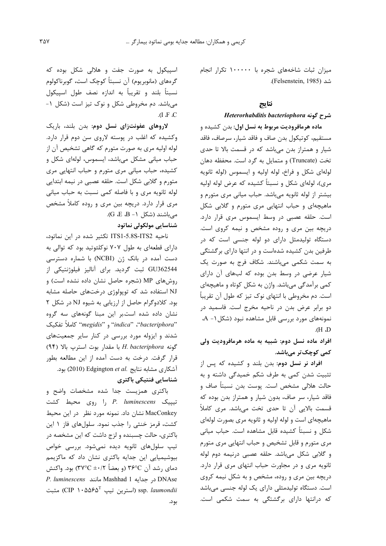میزان ثبات شاخههای شجره با ۱۰۰۰۰۰ تکرار انجام شد (Felsenstein, 1985).

## نتايج

#### شرح گونه Heterorhabditis bacteriophora

ماده هرمافرودیت مربوط به نسل اول: بدن کشیده و مستقيم، كوتيكول بدن صاف و فاقد شيار، سرصاف، فاقد شیار و همتراز بدن میباشد که در قسمت بالا تا حدی تخت (Truncate) و متمایل به گرد است. محفظه دهان لولهای شکل و فراخ، لوله اولیه و ایسموس (لوله ثانویه مړي)، لولهای شکل و نسبتاً کشیده که عرض لوله اولیه بیشتر از لوله ثانویه میباشد. حباب میانی مری متورم و ماهیچهای و حباب انتهایی مری متورم و گلابی شکل است. حلقه عصبی در وسط ایسموس مری قرار دارد. دریچه بین مری و روده مشخص و نیمه کروی است. دستگاه تولیدمثل دارای دو لوله جنسی است که در طرفین بدن کشیده شدهاست و در انتها دارای برگشتگی به سمت شکمی میباشند. شکاف فرج به صورت یک شیار عرضی در وسط بدن بوده که لبهای آن دارای کمی برآمدگی میباشد. واژن به شکل کوتاه و ماهیچهای است. دم مخروطی با انتهای نوک تیز که طول آن تقریباً دو برابر عرض بدن در ناحیه مخرج است. فاسمید در نمونههای مورد بررسی قابل مشاهده نبود (شکل ۱– A، (I, H).

# افراد ماده نسل دوم: شبیه به ماده هرمافرودیت ولی کمی کوچک تر میباشد.

افراد نر نسل دوم: بدن بلند و کشیده که پس از تثبیت شدن کمی به طرف شکم خمیدگی داشته و به حالت هلالي مشخص است. پوست بدن نسبتاً صاف و فاقد شیار، سر صاف، بدون شیار و همتراز بدن بوده که قسمت بالایی آن تا حدی تخت می باشد. مری کاملاً ماهیچهای است و لوله اولیه و ثانویه مری بصورت لولهای شکل و نسبتاً کشیده قابل مشاهده است. حباب میانی مری متورم و قابل تشخیص و حباب انتهایی مری متورم و گلابی شکل میباشد. حلقه عصبی درنیمه دوم لوله ثانویه مری و در مجاورت حباب انتهای مری قرار دارد. دریچه بین مری و روده، مشخص و به شکل نیمه کروی است. دستگاه تولیدمثلی دارای یک لوله جنسی میباشد که درانتها دارای برگشتگی به سمت شکمی است.

اسپیکول به صورت جفت و هلالی شکل بوده که گرەھاي (مانوبريوم) آن نسبتاً كوچک است، گوبرناكولوم نسبتاً بلند و تقريباً به اندازه نصف طول اسييكول می باشد. دم مخروطی شکل و نوک تیز است (شکل ۱- $\overline{A}$   $\overline{A}$   $\overline{C}$ 

لاروهای عفونتزای نسل دوم: بدن بلند، باریک وکشیده که اغلب در پوسته لاروی سن دوم قرار دارد. لوله اولیه مری به صورت متورم که گاهی تشخیص آن از حباب میانی مشکل میباشد، ایسموس، لولهای شکل و کشیده، حباب میانی مری متورم و حباب انتهایی مری متورم و گلابی شکل است. حلقه عصبی در نیمه ابتدایی لوله ثانويه مرى و با فاصله كمى نسبت به حباب ميانى مری قرار دارد. دریچه بین مری و روده کاملاً مشخص میباشند (شکل 1− G ،E ،B). شناسایی مولکولی نماتود

ناحیه ITS1-5.8S-ITS2 تکثیر شده در این نماتود، دارای قطعهای به طول ۷۰۷ نوکلئوتید بود که توالی به دست آمده در بانک ژن (NCBI) با شماره دسترسی GU362544 ثبت گردید. برای آنالیز فیلوژنتیکی از روش های MP (شجره حاصل نشان داده نشده است) و NJ استفاده شد که توپولوژی درختهای حاصله مشابه بود. کلادوگرام حاصل از ارزیابی به شیوه NJ در شکل ۲ نشان داده شده است.بر این مبنا گونههای سه گروه "indica" ،"bacteriphora" و "megidis" كاملاً تفكيك شدند و ایزوله مورد بررسی در کنار سایر جمعیتهای گونه H. bacteriphora با مقدار بوت استرب بالا (۹۴) قرار گرفت. درخت به دست آمده از این مطالعه بطور آشكاری مشابه نتايج .Edgington et al (2010) بود. شناسایی فنتیکی باکتری

باکتری همزیست جدا شده مشخصات واضح و تیپیک P. luminescens را روی محیط کشت MacConkey نشان داد. نمونه مورد نظر در این محیط کشت، قرمز خنثی را جذب نمود. سلولهای فاز ١ این باکتری، حالت چسبنده و لزج داشت که این مشخصه در تیپ سلولهای ثانویه دیده نمیشود. بررسی خواص بیوشیمیایی این جدایه باکتری نشان داد که ماکزیمم دمای ,شد آن ۳۶°C (و بعضاً ۲۰/۲ (۳۷°C بود. واکنش P. luminescens مانند Mashhad 1 در جدايه DNAse مثبت (CIP ۱۰۵۵۶۵<sup>T</sup> استرین تیپ) ssp. *laumondii* بود.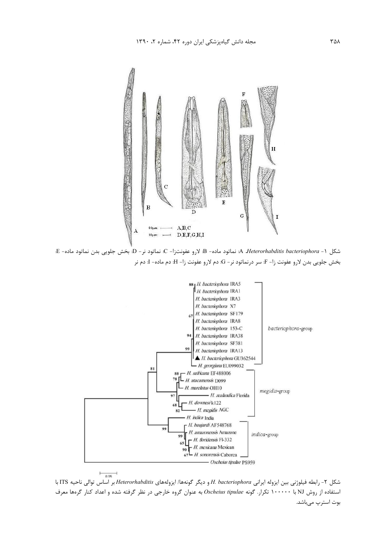

شكل A *Heterorhabditis bacteriophora* - 1: نماتود ماده- B: لارو عفونتزا- C: نماتود نر- D: بخش جلويي بدن نماتود ماده- E: بخش جلويي بدن لارو عفونت زا− F: سر درنماتود نر− G: دم لارو عفونت زا− H: دم ماده− I: دم نر



شكل ٢- رابطه فيلوژني بين ايزوله ايراني H. bacteriophora و ديگر گونهها/ ايزولههاي Heterorhabditis بر اساس توالي ناحيه ITS با استفاده از روش NJ با ۱۰۰۰۰۰ تکرار. گونه Oscheius tipulae به عنوان گروه خارجی در نظر گرفته شده و اعداد کنار گرهها معرف بوت استرپ میباشد.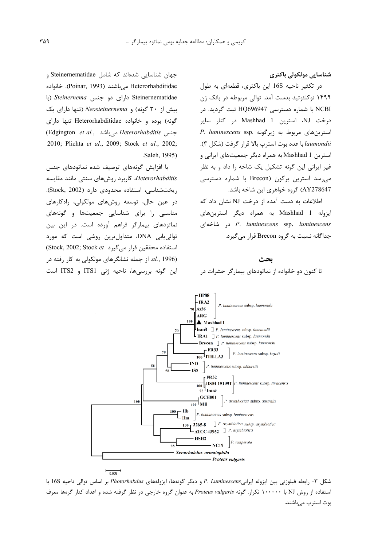شناسایی مولکولی باکتری

د, تكثير ناحيه 16S اين باكترى، قطعهاى به طول ۱۴۹۹ نوکلئوتید بدست آمد. توالی مربوطه در بانک ژن NCBI با شماره دسترسی HQ696947 ثبت گردید. در درخت NJ، استرین Mashhad 1 در کنار سایر P. luminescens ssp. استرین های مربوط به زیرگونه laumondii با عدد بوت استرپ بالا قرار گرفت (شكل ٣). استرین Mashhad 1 به همراه دیگر جمعیتهای ایرانی و غیر ایرانی این گونه تشکیل یک شاخه را داد و به نظر می رسد استرین برکون (Brecon با شماره دسترسی AY278647) گروه خواهری این شاخه باشد.

اطلاعات به دست آمده از درخت NJ نشان داد که ایزوله Mashhad 1 به همراه دیگر استرینهای *P. luminescens* ssp. *luminescens* د, شاخهای جداگانه نسبت به گروه Brecon قرار می گیرد.

جهان شناسایی شدهاند که شامل Steinernematidae و Heterorhabditidae می باشند (Poinar, 1993). خانواده Steinernematidae دارای دو جنس Steinernema (با بیش از ۳۰ گونه) و Neosteinernema (تنها دارای یک گونه) بوده و خانواده Heterorhabditidae تنها دارای (Edgington et al., حنس, Heterorhabditis 2010; Plichta et al., 2009; Stock et al., 2002; Saleh. 1995).

با افزایش گونههای توصیف شده نماتودهای جنس Heterorhabditis، كاربرد روشهاى سنتى مانند مقايسه ریختشناسی، استفاده محدودی دارد (Stock, 2002). در عین حال، توسعه روشهای مولکولی، راهکارهای مناسبی را برای شناسایی جمعیتها و گونههای نماتودهای بیمارگر فراهم آورده است. در این بین توالی یابی DNA، متداولترین روشی است که مورد (Stock, 2002; Stock et رار میگیرد) از جمله نشانگرهای مولکولی به کار رفته در  $al.$  , 1996) این گونه بررسیها، ناحیه ژنی ITS1 و ITS2 است





شكل ٣- رابطه فيلوژنى بين ايزوله ايرانىP. Luminescens و ديگر گونهها/ ايزولههاى Photorhabdus بر اساس توالى ناحيه 16S با استفاده از روش NJ با ۱۰۰۰۰۰ تکرار. گونه Proteus vulgaris به عنوان گروه خارجی در نظر گرفته شده و اعداد کنار گرهها معرف بوت استرپ میباشند.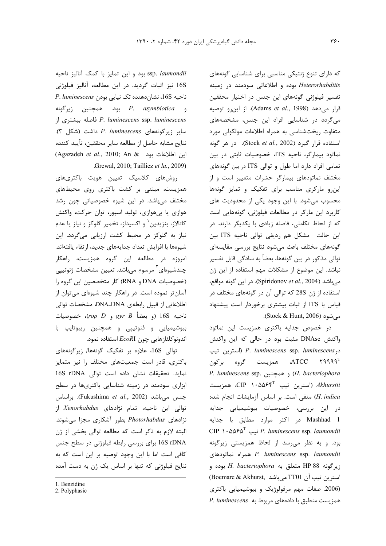که دارای تنوع ژنتیکی مناسبی برای شناسایی گونههای Heterorhabditis بوده و اطلاعاتی سودمند در زمینه تفسیر فیلوژنی گونههای این جنس در اختیار محققین قرار مى دهد (Adams et al., 1998). از اين رو توصيه میگردد در شناسایی افراد این جنس، مشخصههای متفاوت ریختشناسی به همراه اطلاعات مولکولی مورد استفاده قرار گیرد (Stock et al., 2002). در هر گونه نماتود بیمارگر، ناحیه ITS، خصوصیات ثابتی در بین تمامی افراد دارد اما طول و توالی ITS در بین گونههای مختلف نماتودهای بیمارگر حشرات متغییر است و از این و مارکری مناسب برای تفکیک و تمایز گونهها محسوب میشود. با این وجود یکی از محدودیت های کاربرد این مارکر در مطالعات فیلوژنی، گونههایی است كه از لحاظ تكاملي، فاصله زيادي با يكديگر دارند. در این حالت مشکل هم ردیفی توالی ناحیه ITS بین گونههای مختلف باعث می شود نتایج بررسی مقایسهای توالی مذکور در بین گونهها، بعضاً به سادگی قابل تفسیر نباشد. این موضوع از مشکلات مهم استفاده از این ژن م ,باشد (Spiridonov et al., 2004). در این گونه مواقع، استفاده از ژن 28S که توالی آن در گونههای مختلف در قیاس با ITS از ثبات بیشتری برخوردار است پیشنهاد مے شود (Stock & Hunt, 2006).

در خصوص جدایه باکتری همزیست این نماتود واکنش DNAse مثبت بود در حالی که این واکنش در P. luminescens ssp. luminescens (استرين تيپ همزیست گروه برکون، ATCC ۲۹۹۹۹ P. luminescens ssp. و همچنین (H. bacteriophora استرین تیپ  $\mathsf{CP} \to \mathsf{coP} \to \mathsf{coP}$ ، همزیست  $\mathsf{R}$ H. indica) منفى است. بر اساس آزمايشات انجام شده در این بررسی، خصوصیات بیوشیمیایی جدایه Mashhad 1 در اکثر موارد مطابق با جدایه CIP ۱۰۵۵۶۵<sup>T</sup> تیپ P. luminescens ssp. laumondii بود. و به نظر می رسد از لحاظ همزیستی زیرگونه P. luminescens ssp. laumondii زيرگونه BP 88 متعلق به H. bacteriophora بوده و استرين تيپ آن TT01 مى باشد ,Boemare & Akhurst (2006. صفات مهم مرفولوژیک و بیوشیمیایی باکتری P. luminescens مربوط به P. luminescens

ssp. laumondii بود و این تمایز با کمک آنالیز ناحیه 16S نیز اثبات گردید. در این مطالعه، آنالیز فیلوژنی D. luminescens نشان دهنده تک نیایی بودن و P. asymbiotica بود. همچنین زیرگونه P. luminescens ssp. luminescens فاصله بيشترى از سایر زیرگونههای P. luminescens داشت (شکل ۳). نتايج مشابه حاصل از مطالعه ساير محققين، تأييد كننده (Agazadeh et al., 2010; An & این اطلاعات بود ) .Grewal, 2010; Tailliez et la., 2009)

روشهای کلاسیک تعیین هویت باکتریهای همزیست، مبتنی بر کشت باکتری روی محیطهای مختلف میباشد. در این شیوه خصوصیاتی چون رشد هوازي يا بيهوازي، توليد اسپور، توان حركت، واكنش کاتالاز، بنزیدین ٰ و اکسیداز، تخمیر گلوکز و نیاز یا عدم نیاز به گلوکز در محیط کشت ارزیابی میگردد. این شيوهها با افزايش تعداد جدايههاى جديد، ارتقاء يافتهاند. امروزه در مطالعه این گروه همزیست، راهکار چندشیوهای ٔ مرسوم میباشد. تعیین مشخصات ژنوتیپی (خصوصیات DNA و RNA) كار متخصصين اين گروه را آسانتر نموده است. در راهکار چند شیوهای میتوان از اطلاعاتی از قبیل رابطهی DNA\_DNA، مشخصات توالی  $(rop\ D\ gyr\ B\$  (و بعضاً:  $gr\ B$  و (rop D)، خصوصیات بیوشیمیایی و فنوتیپی و همچنین ریبوتایپ با اندونوكلئازهايي چون EcoRI استفاده نمود.

توالی 16S، علاوه بر تفکیک گونهها/ زیرگونههای باکتری، قادر است جمعیتهای مختلف را نیز متمایز نمايد. تحقيقات نشان داده است توالى 16S rDNA ابزاری سودمند در زمینه شناسایی باکتریها در سطح جنس میباشد (Fukushima et al., 2002). براساس توالی این ناحیه، تمام نژادهای Xenorhabdus از نژادهای Photorhabdus بطور آشکاری مجزا میشوند. البته لازم به ذكر است كه مطالعه توالى بخشى از ژن 16S rDNA برای بررسی رابطه فیلوژنی در سطح جنس كافى است اما با اين وجود توصيه بر اين است كه به نتایج فیلوژنی که تنها بر اساس یک ژن به دست آمده

<sup>1.</sup> Benzidine

<sup>2.</sup> Polyphasic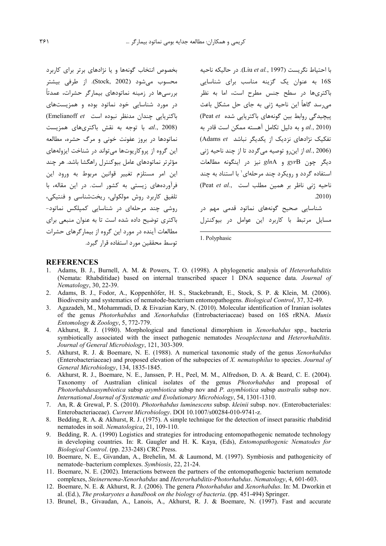بخصوص انتخاب گونهها و یا نژادهای برتر برای کاربرد محسوب مي شود (Stock, 2002). از طرفي بيشتر بررسی ها در زمینه نماتودهای بیمارگر حشرات، عمدتاً در مورد شناسایی خود نماتود بوده و همزیستهای باکتریایی چندان مدنظر نبوده است (Emelianoff et) al., 2008). با توجه به نقش باكترى هاى همزيست نماتودها در بروز عفونت خونی و مرگ حشره، مطالعه این گروه از پروکاریوتها می تواند در شناخت ایزولههای مؤثرتر نماتودهای عامل بیوکنترل راهگشا باشد. هر چند اين امر مستلزم تغيير قوانين مربوط به ورود اين فرآوردههای زیستی به کشور است. در این مقاله، با تلفيق كاربرد روش مولكولى، ريختشناسي و فنتيكي، روشی چند مرحلهای در شناسایی کمیلکس نماتود-باکتری توضیح داده شده است تا به عنوان منبعی برای مطالعات آینده در مورد این گروه از بیمارگرهای حشرات توسط محققین مورد استفاده قرار گیرد.

با احتياط نگريست (Liu et al., 1997). در حاليكه ناحيه 16S به عنوان یک گزینه مناسب برای شناسایی .<br>باکتریها در سطح جنس مطرح است، اما به نظر می٫سد گاهاً این ناحیه ژنی به جای حل مشکل باعث پیچیدگی روابط بین گونههای باکتریایی شده Peat et) و به دليل تكامل آهسته ممكن است قادر به  $al., 2010)$ تفکیک نژادهای نزدیک از یکدیگر نباشد Adams et) از این و توصیه می گردد تا از چند ناحیه ژنی  $al., 2006)$ دیگر چون gyrB و glnA نیز در اینگونه مطالعات استفاده گردد و رویکرد چند مرحلهای٬ با استناد به چند ناحيه ژنى ناظر بر همين مطلب است ..Peat et al  $.2010$ 

شناسایی صحیح گونههای نماتود قدمی مهم در مسایل مرتبط با کاربرد این عوامل در بیوکنترل

1. Polyphasic

#### **REFERENCES**

- 1. Adams, B. J., Burnell, A. M. & Powers, T. O. (1998). A phylogenetic analysis of *Heterorhabditis* (Nemata: Rhabditidae) based on internal transcribed spacer 1 DNA sequence data. Journal of Nematology, 30, 22-39.
- 2. Adams, B. J., Fodor, A., Koppenhöfer, H. S., Stackebrandt, E., Stock, S. P. & Klein, M. (2006). Biodiversity and systematics of nematode-bacterium entomopathogens. Biological Control, 37, 32-49.
- 3. Agazadeh, M., Mohammadi, D. & Eivazian Kary, N. (2010). Molecular identification of Iranian isolates of the genus Photorhabdus and Xenorhabdus (Entrobacteriaceae) based on 16S rRNA. Munis Entomology & Zoology, 5, 772-779.
- 4. Akhurst, R. J. (1980). Morphological and functional dimorphism in *Xenorhabdus* spp., bacteria symbiotically associated with the insect pathogenic nematodes Neoaplectana and Heterorhabditis. Journal of General Microbiology, 121, 303-309.
- 5. Akhurst, R. J. & Boemare, N. E. (1988). A numerical taxonomic study of the genus Xenorhabdus (Enterobacteriaceae) and proposed elevation of the subspecies of X. nematophilus to species. Journal of General Microbiology, 134, 1835-1845.
- 6. Akhurst, R. J., Boemare, N. E., Janssen, P. H., Peel, M. M., Alfredson, D. A. & Beard, C. E. (2004). Taxonomy of Australian clinical isolates of the genus Photorhabdus and proposal of Photorhabdusasymbiotica subsp asymbiotica subsp nov and P. asymbiotica subsp australis subsp nov. International Journal of Systematic and Evolutionary Microbiology, 54, 1301-1310.
- 7. An, R. & Grewal, P. S. (2010). Photorhabdus luminescens subsp. kleinii subsp. nov. (Enterobacteriales: Enterobacteriaceae). Current Microbiology. DOI 10.1007/s00284-010-9741-z.
- 8. Bedding, R. A. & Akhurst, R. J. (1975). A simple technique for the detection of insect parasitic rhabditid nematodes in soil. Nematologica, 21, 109-110.
- 9. Bedding, R. A. (1990) Logistics and strategies for introducing entomopathogenic nematode technology in developing countries. In: R. Gaugler and H. K. Kaya, (Eds), *Entomopathogenic Nematodes for* Biological Control. (pp. 233-248) CRC Press.
- 10. Boemare, N. E., Givandan, A., Brehelin, M. & Laumond, M. (1997). Symbiosis and pathogenicity of nematode-bacterium complexes. Symbiosis, 22, 21-24.
- 11. Boemare, N. E. (2002). Interactions between the partners of the entomopathogenic bacterium nematode complexes, Steinernema-Xenorhabdus and Heterorhabditis-Photorhabdus. Nematology, 4, 601-603.
- 12. Boemare, N. E. & Akhurst, R. J. (2006). The genera *Photorhabdus* and *Xenorhabdus*. In: M. Dworkin et al. (Ed.), The prokaryotes a handbook on the biology of bacteria. (pp. 451-494) Springer.
- 13. Brunel, B., Givaudan, A., Lanois, A., Akhurst, R. J. & Boemare, N. (1997). Fast and accurate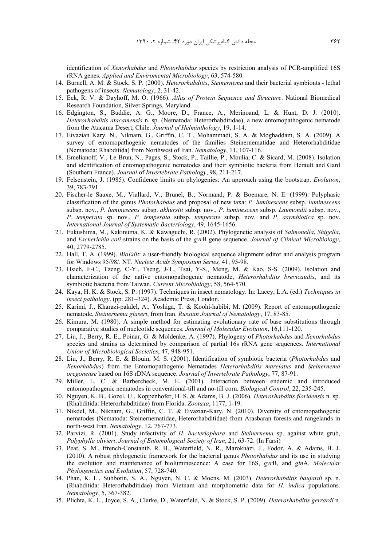identification of *Xenorhabdus* and *Photorhabdus* species by restriction analysis of PCR-amplified 16S rRNA genes. *Applied and Enviromental Microbiology*, 63, 574-580.

- 14. Burnell, A. M. & Stock, S. P. (2000). *Heterorhabditis*, *Steinernema* and their bacterial symbionts lethal pathogens of insects. *Nematology*, 2, 31-42.
- 15. Eck, R. V. & Dayhoff, M. O. (1966). *Atlas of Protein Sequence and Structure*. National Biomedical Research Foundation, Silver Springs, Maryland.
- 16. Edgington, S., Buddie, A. G., Moore, D., France, A., Merinoand, L. & Hunt, D. J. (2010). *Heterorhabditis atacamensis* n. sp. (Nematoda: Heterorhabditidae), a new entomopathogenic nematode from the Atacama Desert, Chile. *Journal of Helminthology*, 19, 1-14.
- 17. Eivazian Kary, N., Niknam, G., Griffin, C. T., Mohammadi, S. A. & Moghaddam, S. A. (2009). A survey of entomopathogenic nematodes of the families Steinernematidae and Heterorhabditidae (Nematoda: Rhabditida) from Northwest of Iran. *Nematology*, 11, 107-116.
- 18. Emelianoff, V., Le Brun, N., Pages, S., Stock, P., Taillie, P., Moulia, C. & Sicard, M. (2008). Isolation and identification of entomopathogenic nematodes and their symbiotic bacteria from Hérault and Gard (Southern France). *Journal* of *Invertebrate Pathology*, 98, 211-217.
- 19. Felsenstein, J. (1985). Confidence limits on phylogenies: An approach using the bootstrap. *Evolution*, 39, 783-791.
- 20. Fischer-le Sauxe, M., Viallard, V., Brunel, B., Normand, P. & Boemare, N. E. (1999). Polyphasic classification of the genus *Photorhabdus* and proposal of new taxa: *P. luminescens* subsp. *luminescens* subsp. nov., *P. luminescens* subsp. *akhurstii* subsp. nov., *P. luminescens* subsp. *Laumondii* subsp. nov., *P. temperata* sp. nov., *P. temperata* subsp. *temperate* subsp. nov. and *P. asymbiotica* sp. nov. *International Journal of Systematic Bacteriology*, 49, 1645-1656.
- 21. Fukushima, M., Kakinuma, K. & Kawaguchi, R. (2002). Phylogenetic analysis of *Salmonella*, *Shigella*, and *Escherichia coli* strains on the basis of the *gyr*B gene sequence. *Journal of Clinical Microbiology*, 40, 2779-2785.
- 22. Hall, T. A. (1999). *BioEdit*: a user-friendly biological sequence alignment editor and analysis program for Windows 95/98/. NT. *Nucleic Acids Symposium Series,* 41, 95-98.
- 23. Hsieh, F-C., Tzeng, C-Y., Tseng, J-T., Tsai, Y-S., Meng, M. & Kao, S-S. (2009). Isolation and characterization of the native entomopathogenic nematode, *Heterorhabditis brevicaudis*, and its symbiotic bacteria from Taiwan. *Current Microbiology*, 58, 564-570.
- 24. Kaya, H. K. & Stock, S. P. (1997). Techniques in insect nematology. In: Lacey, L.A. (ed.) *Techniques in insect pathology*. (pp. 281–324). Academic Press, London.
- 25. Karimi, J., Kharazi-pakdel, A., Yoshiga, T. & Koohi-habibi, M. (2009). Report of entomopathogenic nematode, *Steinernema glaseri*, from Iran. *Russian Journal of Nematology*, 17, 83-85.
- 26. Kimura, M. **(**1980). A simple method for estimating evolutionary rate of base substitutions through comparative studies of nucleotide sequences. *Journal of Molecular Evolution*, 16,111-120.
- 27. Liu, J., Berry, R. E., Poinar, G. & Moldenke, A. (1997). Phylogeny of *Photorhabdus* and *Xenorhabdus* species and strains as determined by comparison of partial 16s rRNA gene sequences. *International Union of Microbiological Societies*, 47, 948-951.
- 28. Liu, J., Berry, R. E. & Blouin, M. S. (2001). Identification of symbiotic bacteria (*Photorhabdus* and *Xenorhabdus*) from the Entomopathogenic Nematodes *Heterorhabditis marelatus* and *Steinernema oregonense* based on 16S rDNA sequence. *Journal of Invertebrate Pathology*, 77, 87-91.
- 29. Miller, L. C. & Barbercheck, M. E. (2001). Interaction between endemic and introduced entomopathogenic nematodes in conventional-till and no-till corn. *Biological Control*, 22, 235-245.
- 30. Nguyen, K. B., Gozel, U., Koppenhofer, H. S. & Adams, B. J. (2006). *Heterorhabditis floridensis* n. sp. (Rhabditida: Heterorhabditidae) from Florida. *Zootaxa*, 1177, 1-19.
- 31. Nikdel, M., Niknam, G., Griffin, C. T. & Eivazian-Kary, N. (2010). Diversity of entomopathogenic nematodes (Nematoda: Steinernematidae, Heterorhabditidae) from Arasbaran forests and rangelands in north-west Iran. *Nematology*, 12, 767-773.
- 32. Parvizi, R. (2001). Study infectivity of *H. bacteriophora* and *Steinernema* sp. against white grub, *Polyphylla olivieri*. *Journal of Entomological Society of Iran*, 21, 63-72. (In Farsi)
- 33. Peat, S. M., ffrench-Constantb, R. H., Waterfield, N. R., Marokházi, J., Fodor, A. & Adams, B. J. (2010). A robust phylogenetic framework for the bacterial genus *Photorhabdus* and its use in studying the evolution and maintenance of bioluminescence: A case for 16S, *gyr*B, and *gln*A. *Molecular Phylogenetics and Evolution*, 57, 728-740.
- 34. Phan, K. L., Subbotin, S. A., Nguyen, N. C. & Moens, M. (2003). *Heterorhabditis baujardi* sp. n. (Rhabditida: Heterorhabditidae) from Vietnam and morphometric data for *H. indica* populations. *Nematology*, 5, 367-382.
- 35. Plichta, K. L., Joyce, S. A., Clarke, D., Waterfield, N. & Stock, S. P. (2009). *Heterorhabditis gerrardi* n.